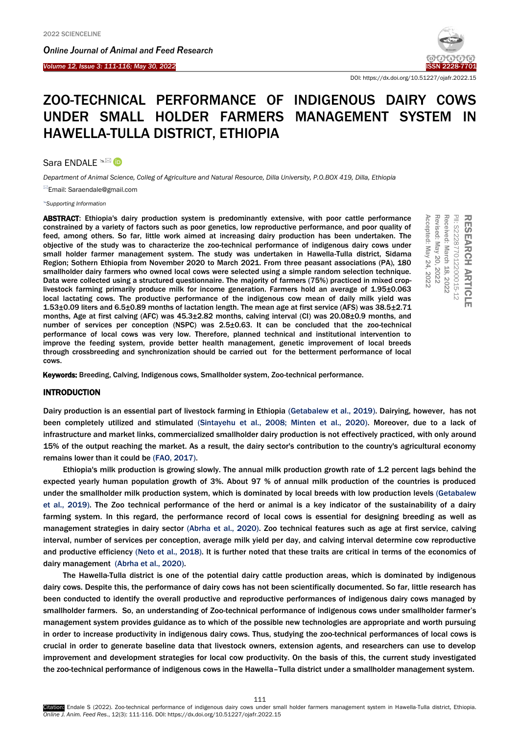*Online Journal of A[nimal and](http://www.ojafr.ir/main/) Feed Research*



DOI: https://dx.doi.org/10.51227/ojafr.2022.15

# ZOO-TECHNICAL PERFORMANCE OF INDIGENOUS DAIRY COWS UNDER SMALL HOLDER FARMERS MANAGEMENT SYSTEM IN HAWELLA-TULLA DISTRICT, ETHIOPIA

Sara ENDALE <sup>N</sup><sup>⊠</sup> **D** 

*Department of Animal Science, Colleg of Agriculture and Natural Resource, Dilla University, P.O.BOX 419, Dilla, Ethiopia*

Email: Saraendale@gmail.com

*[Supporting Information](#page-4-0)*

ABSTRACT: Ethiopia's dairy production system is predominantly extensive, with poor cattle performance constrained by a variety of factors such as poor genetics, low reproductive performance, and poor quality of feed, among others. So far, little work aimed at increasing dairy production has been undertaken. The objective of the study was to characterize the zoo-technical performance of indigenous dairy cows under small holder farmer management system. The study was undertaken in Hawella-Tulla district, Sidama Region; Sothern Ethiopia from November 2020 to March 2021. From three peasant associations (PA), 180 smallholder dairy farmers who owned local cows were selected using a simple random selection technique. Data were collected using a structured questionnaire. The majority of farmers (75%) practiced in mixed croplivestock farming primarily produce milk for income generation. Farmers hold an average of 1.95±0.063 local lactating cows. The productive performance of the indigenous cow mean of daily milk yield was 1.53±0.09 liters and 6.5±0.89 months of lactation length. The mean age at first service (AFS) was 38.5±2.71 months, Age at first calving (AFC) was 45.3±2.82 months, calving interval (CI) was 20.08±0.9 months, and number of services per conception (NSPC) was 2.5±0.63. It can be concluded that the zoo-technical performance of local cows was very low. Therefore, planned technical and institutional intervention to improve the feeding system, provide better health management, genetic improvement of local breeds through crossbreeding and synchronization should be carried out for the betterment performance of local cows. **ABSTRACT:** Ethiopia's dairy production system is predominantly extensive, with poor cattle performance and coordinate by or and the study was to characterize the zoo-technical performance of indigenous dairy covs under<br>ob

# INTRODUCTION

Dairy production is an essential part of livestock farming in Ethiopia [\(Getabalew et al., 2019\).](#page-5-0) Dairying, however, has not been completely utilized and stimulated [\(Sintayehu et al., 2008; Minten et al., 2020\).](#page-5-0) Moreover, due to a lack of infrastructure and market links, commercialized smallholder dairy production is not effectively practiced, with only around 15% of the output reaching the market. As a result, the dairy sector's contribution to the country's agricultural economy remains lower than it could be [\(FAO, 2017\).](#page-5-0) 

Ethiopia's milk production is growing slowly. The annual milk production growth rate of 1.2 percent lags behind the expected yearly human population growth of 3%. About 97 % of annual milk production of the countries is produced under the smallholder milk production system, which is dominated by local breeds with low production levels [\(Getabalew](#page-5-0)  [et al., 2019\).](#page-5-0) The Zoo technical performance of the herd or animal is a key indicator of the sustainability of a dairy farming system. In this regard, the performance record of local cows is essential for designing breeding as well as management strategies in dairy sector [\(Abrha et al., 2020\).](#page-5-0) Zoo technical features such as age at first service, calving interval, number of services per conception, average milk yield per day, and calving interval determine cow reproductive and productive efficiency [\(Neto et al., 2018\).](#page-5-0) It is further noted that these traits are critical in terms of the economics of dairy management [\(Abrha et al., 2020\).](#page-5-0)

The Hawella-Tulla district is one of the potential dairy cattle production areas, which is dominated by indigenous dairy cows. Despite this, the performance of dairy cows has not been scientifically documented. So far, little research has been conducted to identify the overall productive and reproductive performances of indigenous dairy cows managed by smallholder farmers. So, an understanding of Zoo-technical performance of indigenous cows under smallholder farmer's management system provides guidance as to which of the possible new technologies are appropriate and worth pursuing in order to increase productivity in indigenous dairy cows. Thus, studying the zoo-technical performances of local cows is crucial in order to generate baseline data that livestock owners, extension agents, and researchers can use to develop improvement and development strategies for local cow productivity. On the basis of this, the current study investigated the zoo-technical performance of indigenous cows in the Hawella–Tulla district under a smallholder management system.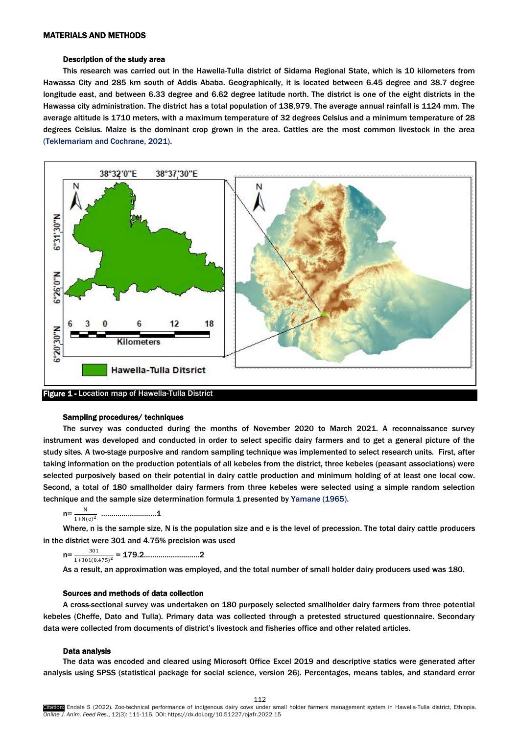#### Description of the study area

This research was carried out in the Hawella-Tulla district of Sidama Regional State, which is 10 kilometers from Hawassa City and 285 km south of Addis Ababa. Geographically, it is located between 6.45 degree and 38.7 degree longitude east, and between 6.33 degree and 6.62 degree latitude north. The district is one of the eight districts in the Hawassa city administration. The district has a total population of 138,979. The average annual rainfall is 1124 mm. The average altitude is 1710 meters, with a maximum temperature of 32 degrees Celsius and a minimum temperature of 28 degrees Celsius. Maize is the dominant crop grown in the area. Cattles are the most common livestock in the area [\(Teklemariam and Cochrane, 2021\).](#page-5-0) 



# Sampling procedures/ techniques

The survey was conducted during the months of November 2020 to March 2021. A reconnaissance survey instrument was developed and conducted in order to select specific dairy farmers and to get a general picture of the study sites. A two-stage purposive and random sampling technique was implemented to select research units. First, after taking information on the production potentials of all kebeles from the district, three kebeles (peasant associations) were selected purposively based on their potential in dairy cattle production and minimum holding of at least one local cow. Second, a total of 180 smallholder dairy farmers from three kebeles were selected using a simple random selection technique and the sample size determination formula 1 presented b[y Yamane](#page-5-0) (1965).

 $n = \frac{N}{N}$  $1 + N(e)^2$ ……………………...1

Where, n is the sample size, N is the population size and e is the level of precession. The total dairy cattle producers in the district were 301 and 4.75% precision was used

 $n = -$ 301 1+301(0.475) <sup>2</sup> = 179.2………………………2

As a result, an approximation was employed, and the total number of small holder dairy producers used was 180.

## Sources and methods of data collection

A cross-sectional survey was undertaken on 180 purposely selected smallholder dairy farmers from three potential kebeles (Cheffe, Dato and Tulla). Primary data was collected through a pretested structured questionnaire. Secondary data were collected from documents of district's livestock and fisheries office and other related articles.

# Data analysis

The data was encoded and cleared using Microsoft Office Excel 2019 and descriptive statics were generated after analysis using SPSS (statistical package for social science, version 26). Percentages, means tables, and standard error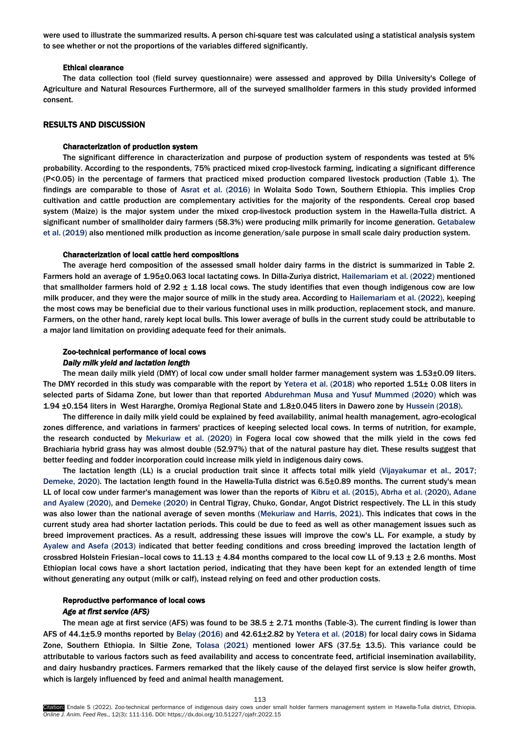were used to illustrate the summarized results. A person chi-square test was calculated using a statistical analysis system to see whether or not the proportions of the variables differed significantly.

#### Ethical clearance

The data collection tool (field survey questionnaire) were assessed and approved by Dilla University's College of Agriculture and Natural Resources Furthermore, all of the surveyed smallholder farmers in this study provided informed consent.

#### RESULTS AND DISCUSSION

## Characterization of production system

The significant difference in characterization and purpose of production system of respondents was tested at 5% probability. According to the respondents, 75% practiced mixed crop-livestock farming, indicating a significant difference (P<0.05) in the percentage of farmers that practiced mixed production compared livestock production (Table 1). The findings are comparable to those of [Asrat et al. \(2016](#page-5-0)) in Wolaita Sodo Town, Southern Ethiopia. This implies Crop cultivation and cattle production are complementary activities for the majority of the respondents. Cereal crop based system (Maize) is the major system under the mixed crop-livestock production system in the Hawella-Tulla district. A significant number of smallholder dairy farmers (58.3%) were producing milk primarily for income generation. Getabalew et al. (2019) also mentioned milk production as income generation/sale purpose in small scale dairy production system.

#### Characterization of local cattle herd compositions

The average herd composition of the assessed small holder dairy farms in the district is summarized in Table 2. Farmers hold an average of 1.95±0.063 local lactating cows. In Dilla-Zuriya district, [Hailemariam et al. \(2022\)](#page-5-0) mentioned that smallholder farmers hold of  $2.92 \pm 1.18$  local cows. The study identifies that even though indigenous cow are low milk producer, and they were the major source of milk in the study area. According to [Hailemariam et al. \(2022\),](#page-5-0) keeping the most cows may be beneficial due to their various functional uses in milk production, replacement stock, and manure. Farmers, on the other hand, rarely kept local bulls. This lower average of bulls in the current study could be attributable to a major land limitation on providing adequate feed for their animals.

# Zoo-technical performance of local cows *Daily milk yield and lactation length*

The mean daily milk yield (DMY) of local cow under small holder farmer management system was 1.53±0.09 liters. The DMY recorded in this study was comparable with the report by [Yetera et al. \(2018\)](#page-5-0) who reported 1.51± 0.08 liters in selected parts of Sidama Zone, but lower than that reported [Abdurehman Musa and Yusuf Mummed \(2020\)](#page-5-0) which was 1.94 ±0.154 liters in West Hararghe, Oromiya Regional State and 1.8±0.045 liters in Dawero zone by [Hussein \(2018\).](#page-5-0) 

The difference in daily milk yield could be explained by feed availability, animal health management, agro-ecological zones difference, and variations in farmers' practices of keeping selected local cows. In terms of nutrition, for example, the research conducted by [Mekuriaw et al. \(2020\)](#page-5-0) in Fogera local cow showed that the milk yield in the cows fed Brachiaria hybrid grass hay was almost double (52.97%) that of the natural pasture hay diet. These results suggest that better feeding and fodder incorporation could increase milk yield in indigenous dairy cows.

The lactation length (LL) is a crucial production trait since it affects total milk yield ([Vijayakumar et al., 2017;](#page-5-0) [Demeke, 2020\).](#page-5-0) The lactation length found in the Hawella-Tulla district was 6.5±0.89 months. The current study's mean LL of local cow under farmer's management was lower than the reports of [Kibru et al. \(2015\), Abrha et al. \(2020\), Adane](#page-5-0)  [and Ayalew \(2020\)](#page-5-0), and [Demeke \(2020\)](#page-5-0) in Central Tigray, Chuko, Gondar, Angot District respectively. The LL in this study was also lower than the national average of seven months [\(Mekuriaw and Harris, 2021\).](#page-5-0) This indicates that cows in the current study area had shorter lactation periods. This could be due to feed as well as other management issues such as breed improvement practices. As a result, addressing these issues will improve the cow's LL. For example, a study by [Ayalew and Asefa \(2013](#page-5-0)) indicated that better feeding conditions and cross breeding improved the lactation length of crossbred Holstein Friesian–local cows to  $11.13 \pm 4.84$  months compared to the local cow LL of 9.13  $\pm$  2.6 months. Most Ethiopian local cows have a short lactation period, indicating that they have been kept for an extended length of time without generating any output (milk or calf), instead relying on feed and other production costs.

#### Reproductive performance of local cows

#### *Age at first service (AFS)*

The mean age at first service (AFS) was found to be  $38.5 \pm 2.71$  months (Table-3). The current finding is lower than AFS of 44.1±5.9 months reported by [Belay \(2016\)](#page-5-0) and 42.61±2.82 by [Yetera et al. \(2018\)](#page-5-0) for local dairy cows in Sidama Zone, Southern Ethiopia. In Siltie Zone, [Tolasa \(2021\)](#page-5-0) mentioned lower AFS (37.5± 13.5). This variance could be attributable to various factors such as feed availability and access to concentrate feed, artificial insemination availability, and dairy husbandry practices. Farmers remarked that the likely cause of the delayed first service is slow heifer growth, which is largely influenced by feed and animal health management.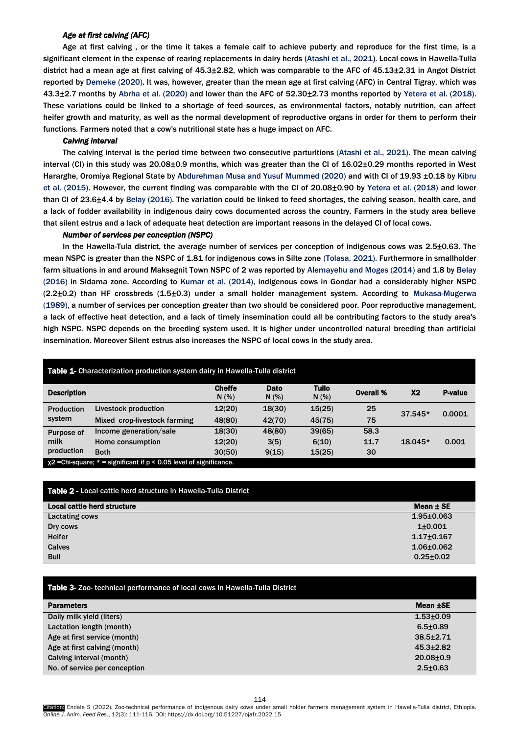# *Age at first calving (AFC)*

Age at first calving , or the time it takes a female calf to achieve puberty and reproduce for the first time, is a significant element in the expense of rearing replacements in dairy her[ds \(Atashi et al., 2021\). Lo](#page-5-0)cal cows in Hawella-Tulla district had a mean age at first calving of 45.3±2.82, which was comparable to the AFC of 45.13±2.31 in Angot District reported b[y Demeke \(2020\). It was,](#page-5-0) however, greater than the mean age at first calving (AFC) in Central Tigray, which was 43.3±2.7 months b[y Abrha et al.](#page-5-0) (2020) and lower than the AFC of 52.30±2.73 months reporte[d by Yetera et al. \(2018\).](#page-5-0) These variations could be linked to a shortage of feed sources, as environmental factors, notably nutrition, can affect heifer growth and maturity, as well as the normal development of reproductive organs in order for them to perform their functions. Farmers noted that a cow's nutritional state has a huge impact on AFC.

#### *Calving interval*

The calving interval is the period time between two consecutive parturitio[ns \(Atashi et al., 2021\). Th](#page-5-0)e mean calving interval (CI) in this study was 20.08±0.9 months, which was greater than the CI of 16.02±0.29 months reported in West Hararghe, Oromiya Regional State by [Abdurehman Musa and Yusuf Mummed \(2020\)](#page-5-0) and with CI of 19.93 ±0.18 by Kibru [et al. \(2015\). H](#page-5-0)owever, the current finding was comparable with the CI of 20.08±0.90 [by Yetera et al. \(2018\)](#page-5-0) and lower than CI of 23.6±4.4 b[y Belay \(2016\). The variat](#page-5-0)ion could be linked to feed shortages, the calving season, health care, and a lack of fodder availability in indigenous dairy cows documented across the country. Farmers in the study area believe that silent estrus and a lack of adequate heat detection are important reasons in the delayed CI of local cows.

# *Number of services per conception (NSPC)*

In the Hawella-Tula district, the average number of services per conception of indigenous cows was 2.5±0.63. The mean NSPC is greater than the NSPC of 1.81 for indigenous cows in Silte zone [\(Tolasa,](#page-5-0) 2021). Furthermore in smallholder farm situations in and around Maksegnit Town NSPC of 2 was reported b[y Alemayehu and Moges \(2014\)](#page-5-0) and 1.8 by Belay (2016) in Sidama zone. According to K[umar et al. \(20](#page-5-0)14), indigenous cows in Gondar had a considerably higher NSPC [\(2.2±0.2](#page-5-0)) than HF crossbreds (1.5±0.3) under a small holder management system. According to [Mukasa-Mugerwa](#page-5-0) (1989), a number of services per conception greater than two should be considered poor. Poor reproductive management, a lack of effective heat detection, and a lack of timely insemination could all be contributing factors to the study area's high NSPC. NSPC depends on the breeding system used. It is higher under uncontrolled natural breeding than artificial insemination. Moreover Silent estrus also increases the NSPC of local cows in the study area.

| Table 1- Characterization production system dairy in Hawella-Tulla district   |                              |                        |               |                     |                  |         |                |  |
|-------------------------------------------------------------------------------|------------------------------|------------------------|---------------|---------------------|------------------|---------|----------------|--|
| <b>Description</b>                                                            |                              | <b>Cheffe</b><br>N(% ) | Dato<br>N(% ) | <b>Tullo</b><br>N(% | <b>Overall %</b> | X2      | <b>P-value</b> |  |
| <b>Production</b><br>system                                                   | Livestock production         | 12(20)                 | 18(30)        | 15(25)              | 25               | 37.545* | 0.0001         |  |
|                                                                               | Mixed crop-livestock farming | 48(80)                 | 42(70)        | 45(75)              | 75               |         |                |  |
| <b>Purpose of</b><br>milk<br>production                                       | Income generation/sale       | 18(30)                 | 48(80)        | 39(65)              | 58.3             |         |                |  |
|                                                                               | Home consumption             | 12(20)                 | 3(5)          | 6(10)               | 11.7             | 18.045* | 0.001          |  |
|                                                                               | <b>Both</b>                  | 30(50)                 | 9(15)         | 15(25)              | 30               |         |                |  |
| $_{\rm X}$ 2 = Chi-square; * = significant if p < 0.05 level of significance. |                              |                        |               |                     |                  |         |                |  |

| Table 2 - Local cattle herd structure in Hawella-Tulla District |                  |  |  |  |  |
|-----------------------------------------------------------------|------------------|--|--|--|--|
| Local cattle herd structure                                     | Mean $\pm$ SE    |  |  |  |  |
| Lactating cows                                                  | $1.95 \pm 0.063$ |  |  |  |  |
| Dry cows                                                        | $1+0.001$        |  |  |  |  |
| <b>Heifer</b>                                                   | $1.17 + 0.167$   |  |  |  |  |
| Calves                                                          | $1.06 \pm 0.062$ |  |  |  |  |
| <b>Bull</b>                                                     | $0.25 \pm 0.02$  |  |  |  |  |

| <b>Table 3- Zoo-</b> technical performance of local cows in Hawella-Tulla District |                 |  |  |  |
|------------------------------------------------------------------------------------|-----------------|--|--|--|
| <b>Parameters</b>                                                                  | Mean <b>±SE</b> |  |  |  |
| Daily milk yield (liters)                                                          | $1.53 \pm 0.09$ |  |  |  |
| Lactation length (month)                                                           | $6.5 \pm 0.89$  |  |  |  |
| Age at first service (month)                                                       | $38.5 \pm 2.71$ |  |  |  |
| Age at first calving (month)                                                       | $45.3 + 2.82$   |  |  |  |
| Calving interval (month)                                                           | $20.08 \pm 0.9$ |  |  |  |
| No. of service per conception                                                      | $2.5 \pm 0.63$  |  |  |  |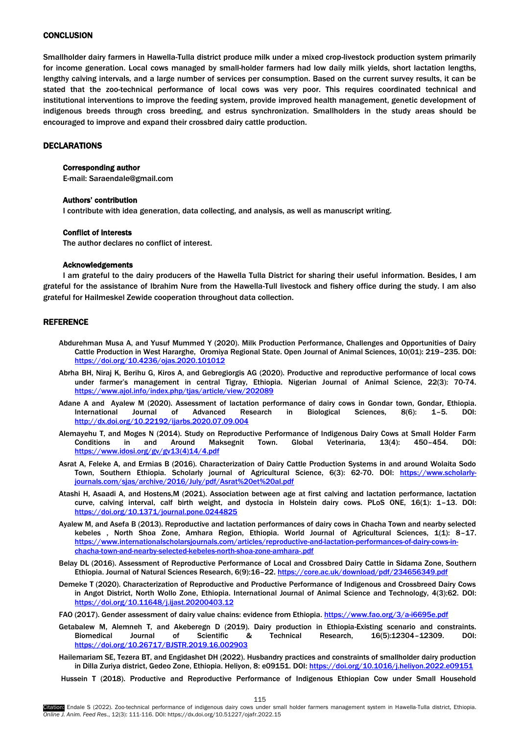# <span id="page-4-0"></span>**CONCLUSION**

Smallholder dairy farmers in Hawella-Tulla district produce milk under a mixed crop-livestock production system primarily for income generation. Local cows managed by small-holder farmers had low daily milk yields, short lactation lengths, lengthy calving intervals, and a large number of services per consumption. Based on the current survey results, it can be stated that the zoo-technical performance of local cows was very poor. This requires coordinated technical and institutional interventions to improve the feeding system, provide improved health management, genetic development of indigenous breeds through cross breeding, and estrus synchronization. Smallholders in the study areas should be encouraged to improve and expand their crossbred dairy cattle production.

## DECLARATIONS

# Corresponding author

E-mail: [Saraendale@gmail.com](mailto:Saraendale@gmail.com)

#### Authors' contribution

I contribute with idea generation, data collecting, and analysis, as well as manuscript writing.

## Conflict of interests

The author declares no conflict of interest.

#### Acknowledgements

I am grateful to the dairy producers of the Hawella Tulla District for sharing their useful information. Besides, I am grateful for the assistance of Ibrahim Nure from the Hawella-Tull livestock and fishery office during the study. I am also grateful for Hailmeskel Zewide cooperation throughout data collection.

# **REFERENCE**

- Abdurehman Musa A, and Yusuf Mummed Y (2020). Milk Production Performance, Challenges and Opportunities of Dairy Cattle Production in West Hararghe, Oromiya Regional State. Open Journal of Animal Sciences, 10(01): 219–235. DOI: <https://doi.org/10.4236/ojas.2020.101012>
- Abrha BH, Niraj K, Berihu G, Kiros A, and Gebregiorgis AG (2020). Productive and reproductive performance of local cows under farmer's management in central Tigray, Ethiopia. Nigerian Journal of Animal Science, 22(3): 70-74. <https://www.ajol.info/index.php/tjas/article/view/202089>
- Adane A and Ayalew M (2020). Assessment of lactation performance of dairy cows in Gondar town, Gondar, Ethiopia. International Journal of Advanced Research in Biological Sciences, 8(6): 1–5. DOI: <http://dx.doi.org/10.22192/ijarbs.2020.07.09.004>
- Alemayehu T, and Moges N (2014). Study on Reproductive Performance of Indigenous Dairy Cows at Small Holder Farm Conditions in and Around Maksegnit Town. Global Veterinaria, 13(4): 450–454. DOI: [https://www.idosi.org/gv/gv13\(4\)14/4.pdf](https://www.idosi.org/gv/gv13(4)14/4.pdf)
- Asrat A, Feleke A, and Ermias B (2016). Characterization of Dairy Cattle Production Systems in and around Wolaita Sodo Town, Southern Ethiopia. Scholarly journal of Agricultural Science, 6(3): 62-70. DOI: [https://www.scholarly](https://www.scholarly-journals.com/sjas/archive/2016/July/pdf/Asrat%20et%20al.pdf)[journals.com/sjas/archive/2016/July/pdf/Asrat%20et%20al.pdf](https://www.scholarly-journals.com/sjas/archive/2016/July/pdf/Asrat%20et%20al.pdf)
- Atashi H, Asaadi A, and Hostens,M (2021). Association between age at first calving and lactation performance, lactation curve, calving interval, calf birth weight, and dystocia in Holstein dairy cows. PLoS ONE, 16(1): 1–13. DOI: <https://doi.org/10.1371/journal.pone.0244825>
- Ayalew M, and Asefa B (2013). Reproductive and lactation performances of dairy cows in Chacha Town and nearby selected kebeles , North Shoa Zone, Amhara Region, Ethiopia. World Journal of Agricultural Sciences, 1(1): 8–17. [https://www.internationalscholarsjournals.com/articles/reproductive-and-lactation-performances-of-dairy-cows-in](https://www.internationalscholarsjournals.com/articles/reproductive-and-lactation-performances-of-dairy-cows-in-chacha-town-and-nearby-selected-kebeles-north-shoa-zone-amhara-.pdf)[chacha-town-and-nearby-selected-kebeles-north-shoa-zone-amhara-.pdf](https://www.internationalscholarsjournals.com/articles/reproductive-and-lactation-performances-of-dairy-cows-in-chacha-town-and-nearby-selected-kebeles-north-shoa-zone-amhara-.pdf)
- Belay DL (2016). Assessment of Reproductive Performance of Local and Crossbred Dairy Cattle in Sidama Zone, Southern Ethiopia. Journal of Natural Sciences Research, 6(9):16-22. https://core.ac.uk/download/pdf/234656349.pdf
- Demeke T (2020). Characterization of Reproductive and Productive Performance of Indigenous and Crossbreed Dairy Cows in Angot District, North Wollo Zone, Ethiopia. International Journal of Animal Science and Technology, 4(3):62. DOI: <https://doi.org/10.11648/j.ijast.20200403.12>
- FAO (2017). Gender assessment of dairy value chains: evidence from Ethiopia[. https://www.fao.org/3/a-i6695e.pdf](https://www.fao.org/3/a-i6695e.pdf)
- Getabalew M, Alemneh T, and Akeberegn D (2019). Dairy production in Ethiopia-Existing scenario and constraints. Biomedical Journal of Scientific & Technical Research, 16(5):12304–12309. DOI: <https://doi.org/10.26717/BJSTR.2019.16.002903>
- Hailemariam SE, Tezera BT, and Engidashet DH (2022). Husbandry practices and constraints of smallholder dairy production in Dilla Zuriya district, Gedeo Zone, Ethiopia. Heliyon, 8: e09151. DOI: https://doi.org/10.1016/j.heliyon.2022.e09151
- Hussein T (2018). Productive and Reproductive Performance of Indigenous Ethiopian Cow under Small Household